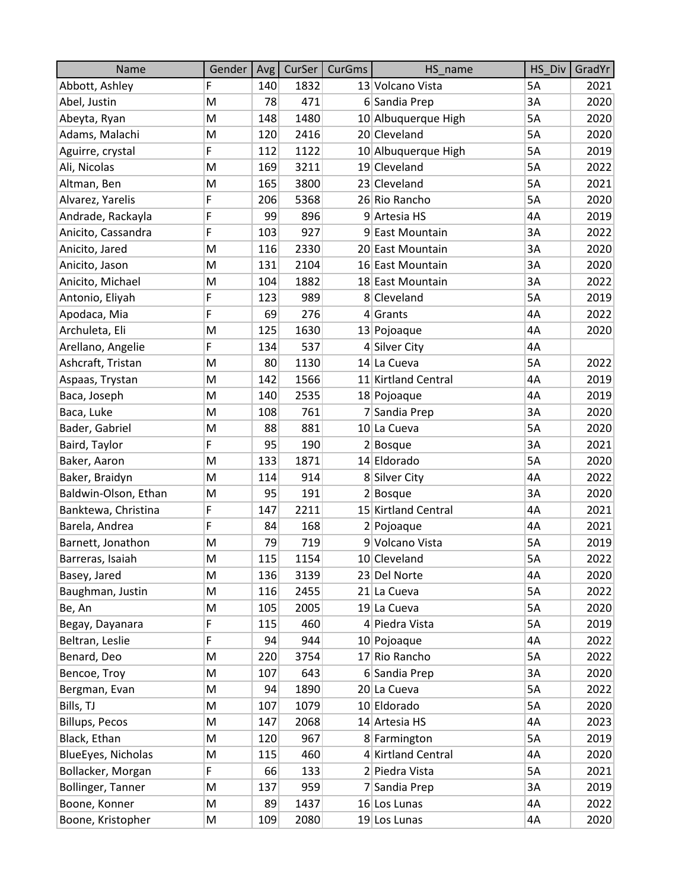| Name                  | Gender | Avg | CurSer | CurGms | HS name             | HS Div    | GradYr |
|-----------------------|--------|-----|--------|--------|---------------------|-----------|--------|
| Abbott, Ashley        | F      | 140 | 1832   |        | 13 Volcano Vista    | <b>5A</b> | 2021   |
| Abel, Justin          | M      | 78  | 471    |        | 6 Sandia Prep       | 3A        | 2020   |
| Abeyta, Ryan          | M      | 148 | 1480   |        | 10 Albuquerque High | 5A        | 2020   |
| Adams, Malachi        | M      | 120 | 2416   |        | 20 Cleveland        | 5A        | 2020   |
| Aguirre, crystal      | F      | 112 | 1122   |        | 10 Albuquerque High | 5A        | 2019   |
| Ali, Nicolas          | M      | 169 | 3211   |        | 19 Cleveland        | 5A        | 2022   |
| Altman, Ben           | M      | 165 | 3800   |        | 23 Cleveland        | 5A        | 2021   |
| Alvarez, Yarelis      | F      | 206 | 5368   |        | 26 Rio Rancho       | 5A        | 2020   |
| Andrade, Rackayla     | F      | 99  | 896    |        | 9 Artesia HS        | 4A        | 2019   |
| Anicito, Cassandra    | F      | 103 | 927    |        | 9 East Mountain     | 3A        | 2022   |
| Anicito, Jared        | M      | 116 | 2330   |        | 20 East Mountain    | 3A        | 2020   |
| Anicito, Jason        | M      | 131 | 2104   |        | 16 East Mountain    | 3A        | 2020   |
| Anicito, Michael      | M      | 104 | 1882   |        | 18 East Mountain    | 3A        | 2022   |
| Antonio, Eliyah       | F      | 123 | 989    |        | 8 Cleveland         | 5A        | 2019   |
| Apodaca, Mia          | F      | 69  | 276    |        | $4$ Grants          | 4A        | 2022   |
| Archuleta, Eli        | M      | 125 | 1630   |        | 13 Pojoaque         | 4A        | 2020   |
| Arellano, Angelie     | F      | 134 | 537    |        | 4 Silver City       | 4A        |        |
| Ashcraft, Tristan     | M      | 80  | 1130   |        | 14 La Cueva         | 5A        | 2022   |
| Aspaas, Trystan       | M      | 142 | 1566   |        | 11 Kirtland Central | 4A        | 2019   |
| Baca, Joseph          | M      | 140 | 2535   |        | 18 Pojoaque         | 4A        | 2019   |
| Baca, Luke            | M      | 108 | 761    |        | 7 Sandia Prep       | 3A        | 2020   |
| Bader, Gabriel        | M      | 88  | 881    |        | 10 La Cueva         | 5A        | 2020   |
| Baird, Taylor         | F      | 95  | 190    |        | $2 $ Bosque         | 3A        | 2021   |
| Baker, Aaron          | M      | 133 | 1871   |        | 14 Eldorado         | 5A        | 2020   |
| Baker, Braidyn        | M      | 114 | 914    |        | 8 Silver City       | 4A        | 2022   |
| Baldwin-Olson, Ethan  | M      | 95  | 191    |        | $2 $ Bosque         | 3A        | 2020   |
| Banktewa, Christina   | F      | 147 | 2211   |        | 15 Kirtland Central | 4A        | 2021   |
| Barela, Andrea        | F      | 84  | 168    |        | 2 Pojoaque          | 4A        | 2021   |
| Barnett, Jonathon     | M      | 79  | 719    |        | 9 Volcano Vista     | 5A        | 2019   |
| Barreras, Isaiah      | M      | 115 | 1154   |        | 10 Cleveland        | 5A        | 2022   |
| Basey, Jared          | M      | 136 | 3139   |        | 23 Del Norte        | 4A        | 2020   |
| Baughman, Justin      | M      | 116 | 2455   |        | 21 La Cueva         | 5A        | 2022   |
| Be, An                | M      | 105 | 2005   |        | 19 La Cueva         | 5A        | 2020   |
| Begay, Dayanara       | F      | 115 | 460    |        | 4 Piedra Vista      | 5A        | 2019   |
| Beltran, Leslie       | F      | 94  | 944    |        | 10 Pojoaque         | 4A        | 2022   |
| Benard, Deo           | M      | 220 | 3754   |        | 17 Rio Rancho       | 5A        | 2022   |
| Bencoe, Troy          | M      | 107 | 643    |        | 6 Sandia Prep       | 3A        | 2020   |
| Bergman, Evan         | M      | 94  | 1890   |        | 20 La Cueva         | 5A        | 2022   |
| Bills, TJ             | M      | 107 | 1079   |        | 10 Eldorado         | 5A        | 2020   |
| <b>Billups, Pecos</b> | M      | 147 | 2068   |        | 14 Artesia HS       | 4A        | 2023   |
| Black, Ethan          | M      | 120 | 967    |        | 8 Farmington        | 5A        | 2019   |
| BlueEyes, Nicholas    | M      | 115 | 460    |        | 4 Kirtland Central  | 4A        | 2020   |
| Bollacker, Morgan     | F      | 66  | 133    |        | 2 Piedra Vista      | 5A        | 2021   |
| Bollinger, Tanner     | M      | 137 | 959    |        | 7 Sandia Prep       | 3A        | 2019   |
| Boone, Konner         | M      | 89  | 1437   |        | 16 Los Lunas        | 4A        | 2022   |
| Boone, Kristopher     | M      | 109 | 2080   |        | 19 Los Lunas        | 4A        | 2020   |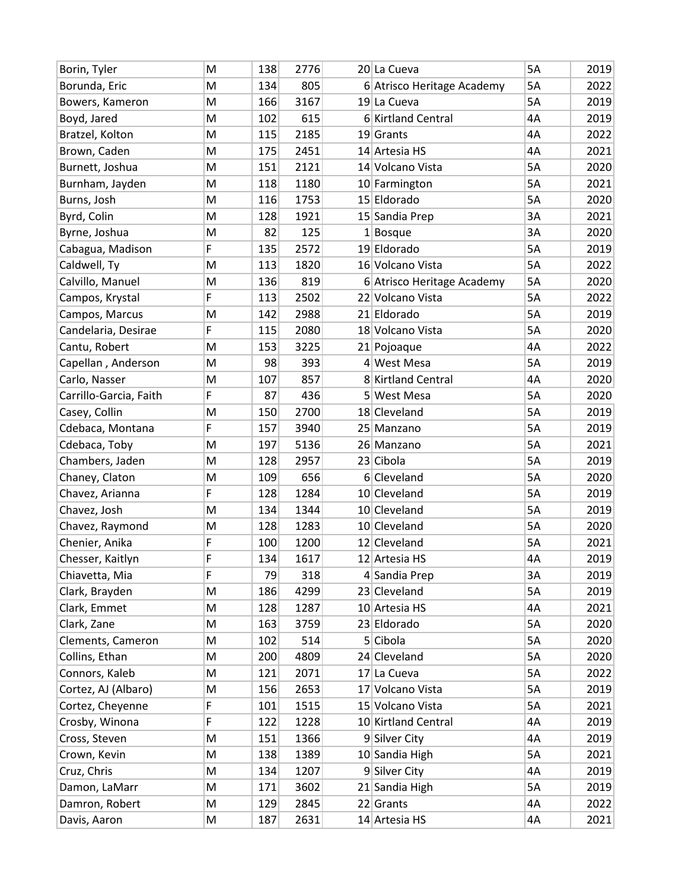| Borin, Tyler           | M | 138 | 2776 | 20 La Cueva                | 5A        | 2019 |
|------------------------|---|-----|------|----------------------------|-----------|------|
| Borunda, Eric          | M | 134 | 805  | 6 Atrisco Heritage Academy | 5A        | 2022 |
| Bowers, Kameron        | M | 166 | 3167 | 19 La Cueva                | 5A        | 2019 |
| Boyd, Jared            | M | 102 | 615  | 6 Kirtland Central         | 4A        | 2019 |
| Bratzel, Kolton        | M | 115 | 2185 | $19$ Grants                | 4A        | 2022 |
| Brown, Caden           | M | 175 | 2451 | 14 Artesia HS              | 4A        | 2021 |
| Burnett, Joshua        | M | 151 | 2121 | 14 Volcano Vista           | 5A        | 2020 |
| Burnham, Jayden        | M | 118 | 1180 | 10 Farmington              | 5A        | 2021 |
| Burns, Josh            | M | 116 | 1753 | 15 Eldorado                | 5A        | 2020 |
| Byrd, Colin            | M | 128 | 1921 | 15 Sandia Prep             | 3A        | 2021 |
| Byrne, Joshua          | M | 82  | 125  | $1$ Bosque                 | 3A        | 2020 |
| Cabagua, Madison       | F | 135 | 2572 | 19 Eldorado                | 5A        | 2019 |
| Caldwell, Ty           | M | 113 | 1820 | 16 Volcano Vista           | 5A        | 2022 |
| Calvillo, Manuel       | M | 136 | 819  | 6 Atrisco Heritage Academy | 5A        | 2020 |
| Campos, Krystal        | F | 113 | 2502 | 22 Volcano Vista           | 5A        | 2022 |
| Campos, Marcus         | M | 142 | 2988 | 21 Eldorado                | <b>5A</b> | 2019 |
| Candelaria, Desirae    | F | 115 | 2080 | 18 Volcano Vista           | 5A        | 2020 |
| Cantu, Robert          | M | 153 | 3225 | 21 Pojoaque                | 4A        | 2022 |
| Capellan, Anderson     | M | 98  | 393  | 4 West Mesa                | 5A        | 2019 |
| Carlo, Nasser          | M | 107 | 857  | 8 Kirtland Central         | 4A        | 2020 |
| Carrillo-Garcia, Faith | F | 87  | 436  | 5 West Mesa                | 5A        | 2020 |
| Casey, Collin          | M | 150 | 2700 | 18 Cleveland               | 5A        | 2019 |
| Cdebaca, Montana       | F | 157 | 3940 | 25 Manzano                 | 5A        | 2019 |
| Cdebaca, Toby          | M | 197 | 5136 | 26 Manzano                 | 5A        | 2021 |
| Chambers, Jaden        | M | 128 | 2957 | 23 Cibola                  | 5A        | 2019 |
| Chaney, Claton         | M | 109 | 656  | 6 Cleveland                | 5A        | 2020 |
| Chavez, Arianna        | F | 128 | 1284 | 10 Cleveland               | 5A        | 2019 |
| Chavez, Josh           | M | 134 | 1344 | 10 Cleveland               | 5A        | 2019 |
| Chavez, Raymond        | M | 128 | 1283 | 10 Cleveland               | 5A        | 2020 |
| Chenier, Anika         | F | 100 | 1200 | 12 Cleveland               | 5A        | 2021 |
| Chesser, Kaitlyn       | F | 134 | 1617 | 12 Artesia HS              | 4A        | 2019 |
| Chiavetta, Mia         | F | 79  | 318  | 4 Sandia Prep              | 3A        | 2019 |
| Clark, Brayden         | M | 186 | 4299 | 23 Cleveland               | 5A        | 2019 |
| Clark, Emmet           | M | 128 | 1287 | 10 Artesia HS              | 4A        | 2021 |
| Clark, Zane            | M | 163 | 3759 | 23 Eldorado                | 5A        | 2020 |
| Clements, Cameron      | M | 102 | 514  | 5 Cibola                   | 5A        | 2020 |
| Collins, Ethan         | M | 200 | 4809 | 24 Cleveland               | 5A        | 2020 |
| Connors, Kaleb         | M | 121 | 2071 | 17 La Cueva                | 5A        | 2022 |
| Cortez, AJ (Albaro)    | M | 156 | 2653 | 17 Volcano Vista           | 5A        | 2019 |
| Cortez, Cheyenne       | F | 101 | 1515 | 15 Volcano Vista           | 5A        | 2021 |
| Crosby, Winona         | F | 122 | 1228 | 10 Kirtland Central        | 4Α        | 2019 |
| Cross, Steven          | M | 151 | 1366 | 9 Silver City              | 4A        | 2019 |
| Crown, Kevin           | M | 138 | 1389 | 10 Sandia High             | 5A        | 2021 |
| Cruz, Chris            | M | 134 | 1207 | 9 Silver City              | 4A        | 2019 |
| Damon, LaMarr          | M | 171 | 3602 | 21 Sandia High             | 5A        | 2019 |
| Damron, Robert         | M | 129 | 2845 | 22 Grants                  | 4A        | 2022 |
| Davis, Aaron           | M | 187 | 2631 | $14$ Artesia HS            | 4A        | 2021 |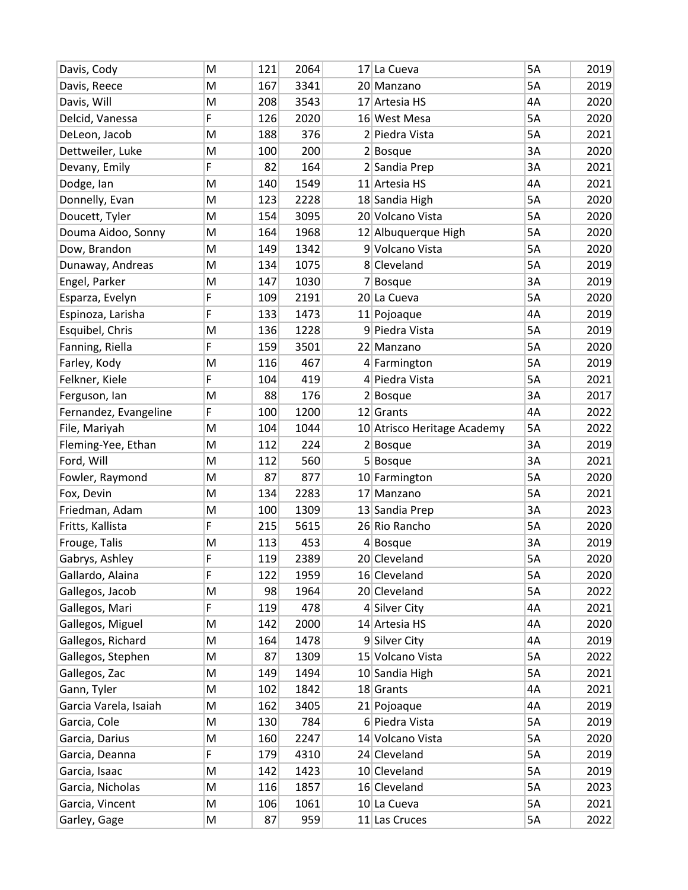| Davis, Cody           | M | 121 | 2064 | 17 La Cueva                 | 5A | 2019 |
|-----------------------|---|-----|------|-----------------------------|----|------|
| Davis, Reece          | M | 167 | 3341 | 20 Manzano                  | 5A | 2019 |
| Davis, Will           | M | 208 | 3543 | 17 Artesia HS               | 4A | 2020 |
| Delcid, Vanessa       | F | 126 | 2020 | 16 West Mesa                | 5A | 2020 |
| DeLeon, Jacob         | M | 188 | 376  | 2 Piedra Vista              | 5A | 2021 |
| Dettweiler, Luke      | M | 100 | 200  | $2 $ Bosque                 | 3A | 2020 |
| Devany, Emily         | F | 82  | 164  | 2 Sandia Prep               | 3A | 2021 |
| Dodge, Ian            | M | 140 | 1549 | 11 Artesia HS               | 4A | 2021 |
| Donnelly, Evan        | M | 123 | 2228 | 18 Sandia High              | 5A | 2020 |
| Doucett, Tyler        | M | 154 | 3095 | 20 Volcano Vista            | 5A | 2020 |
| Douma Aidoo, Sonny    | M | 164 | 1968 | 12 Albuquerque High         | 5A | 2020 |
| Dow, Brandon          | M | 149 | 1342 | 9 Volcano Vista             | 5A | 2020 |
| Dunaway, Andreas      | M | 134 | 1075 | 8 Cleveland                 | 5A | 2019 |
| Engel, Parker         | M | 147 | 1030 | $7 $ Bosque                 | 3A | 2019 |
| Esparza, Evelyn       | F | 109 | 2191 | 20 La Cueva                 | 5A | 2020 |
| Espinoza, Larisha     | F | 133 | 1473 | $11$  Pojoaque              | 4A | 2019 |
| Esquibel, Chris       | M | 136 | 1228 | 9 Piedra Vista              | 5A | 2019 |
| Fanning, Riella       | F | 159 | 3501 | 22 Manzano                  | 5A | 2020 |
| Farley, Kody          | M | 116 | 467  | 4 Farmington                | 5A | 2019 |
| Felkner, Kiele        | F | 104 | 419  | 4 Piedra Vista              | 5A | 2021 |
| Ferguson, lan         | M | 88  | 176  | $2 $ Bosque                 | 3A | 2017 |
| Fernandez, Evangeline | F | 100 | 1200 | $12$ Grants                 | 4A | 2022 |
| File, Mariyah         | M | 104 | 1044 | 10 Atrisco Heritage Academy | 5A | 2022 |
| Fleming-Yee, Ethan    | M | 112 | 224  | $2 $ Bosque                 | 3A | 2019 |
| Ford, Will            | M | 112 | 560  | $5 $ Bosque                 | 3A | 2021 |
| Fowler, Raymond       | M | 87  | 877  | 10 Farmington               | 5A | 2020 |
| Fox, Devin            | M | 134 | 2283 | 17 Manzano                  | 5A | 2021 |
| Friedman, Adam        | M | 100 | 1309 | 13 Sandia Prep              | 3A | 2023 |
| Fritts, Kallista      | F | 215 | 5615 | 26 Rio Rancho               | 5A | 2020 |
| Frouge, Talis         | M | 113 | 453  | $4 $ Bosque                 | 3A | 2019 |
| Gabrys, Ashley        | F | 119 | 2389 | 20 Cleveland                | 5A | 2020 |
| Gallardo, Alaina      | F | 122 | 1959 | 16 Cleveland                | 5A | 2020 |
| Gallegos, Jacob       | M | 98  | 1964 | 20 Cleveland                | 5A | 2022 |
| Gallegos, Mari        | F | 119 | 478  | 4 Silver City               | 4A | 2021 |
| Gallegos, Miguel      | M | 142 | 2000 | 14 Artesia HS               | 4A | 2020 |
| Gallegos, Richard     | M | 164 | 1478 | 9 Silver City               | 4A | 2019 |
| Gallegos, Stephen     | M | 87  | 1309 | 15 Volcano Vista            | 5A | 2022 |
| Gallegos, Zac         | M | 149 | 1494 | 10 Sandia High              | 5A | 2021 |
| Gann, Tyler           | M | 102 | 1842 | $18$ Grants                 | 4A | 2021 |
| Garcia Varela, Isaiah | M | 162 | 3405 | 21 Pojoaque                 | 4A | 2019 |
| Garcia, Cole          | M | 130 | 784  | 6 Piedra Vista              | 5A | 2019 |
| Garcia, Darius        | M | 160 | 2247 | 14 Volcano Vista            | 5A | 2020 |
| Garcia, Deanna        | F | 179 | 4310 | 24 Cleveland                | 5A | 2019 |
| Garcia, Isaac         | M | 142 | 1423 | 10 Cleveland                | 5A | 2019 |
| Garcia, Nicholas      | M | 116 | 1857 | 16 Cleveland                | 5A | 2023 |
| Garcia, Vincent       | M | 106 | 1061 | 10 La Cueva                 | 5A | 2021 |
| Garley, Gage          | M | 87  | 959  | 11 Las Cruces               | 5A | 2022 |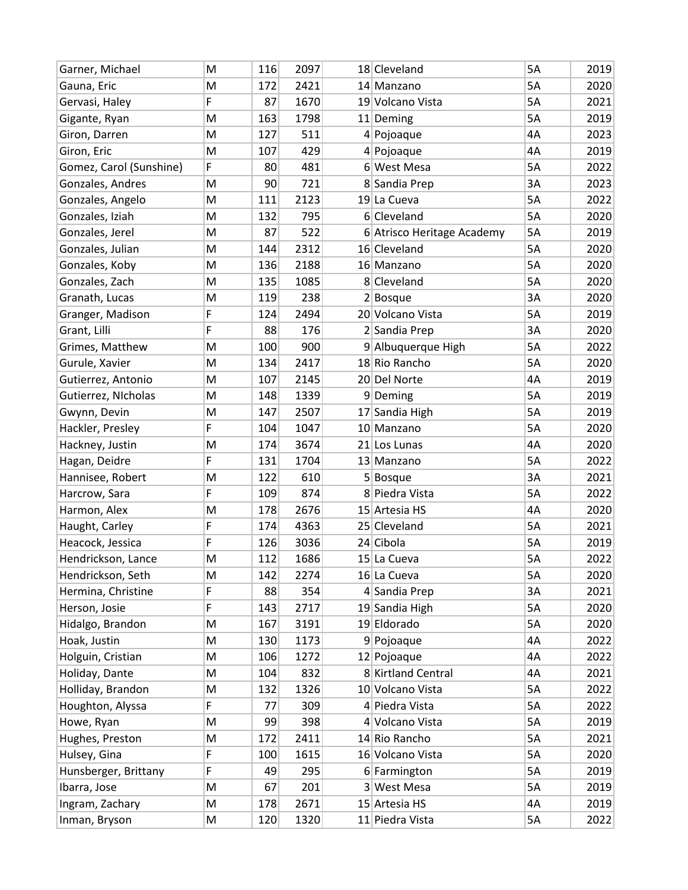| Garner, Michael         | M | 116 | 2097 | 18 Cleveland               | 5A        | 2019 |
|-------------------------|---|-----|------|----------------------------|-----------|------|
| Gauna, Eric             | M | 172 | 2421 | 14 Manzano                 | 5A        | 2020 |
| Gervasi, Haley          | F | 87  | 1670 | 19 Volcano Vista           | 5A        | 2021 |
| Gigante, Ryan           | M | 163 | 1798 | 11 Deming                  | 5A        | 2019 |
| Giron, Darren           | M | 127 | 511  | 4 Pojoaque                 | 4A        | 2023 |
| Giron, Eric             | M | 107 | 429  | 4 Pojoaque                 | 4A        | 2019 |
| Gomez, Carol (Sunshine) | F | 80  | 481  | 6 West Mesa                | 5A        | 2022 |
| Gonzales, Andres        | M | 90  | 721  | 8 Sandia Prep              | 3A        | 2023 |
| Gonzales, Angelo        | M | 111 | 2123 | 19 La Cueva                | 5A        | 2022 |
| Gonzales, Iziah         | M | 132 | 795  | 6 Cleveland                | 5A        | 2020 |
| Gonzales, Jerel         | M | 87  | 522  | 6 Atrisco Heritage Academy | 5A        | 2019 |
| Gonzales, Julian        | M | 144 | 2312 | 16 Cleveland               | 5A        | 2020 |
| Gonzales, Koby          | M | 136 | 2188 | 16 Manzano                 | 5A        | 2020 |
| Gonzales, Zach          | M | 135 | 1085 | 8 Cleveland                | 5A        | 2020 |
| Granath, Lucas          | M | 119 | 238  | $2 $ Bosque                | 3A        | 2020 |
| Granger, Madison        | F | 124 | 2494 | 20 Volcano Vista           | <b>5A</b> | 2019 |
| Grant, Lilli            | F | 88  | 176  | 2 Sandia Prep              | 3A        | 2020 |
| Grimes, Matthew         | M | 100 | 900  | 9 Albuquerque High         | 5A        | 2022 |
| Gurule, Xavier          | M | 134 | 2417 | 18 Rio Rancho              | 5A        | 2020 |
| Gutierrez, Antonio      | M | 107 | 2145 | 20 Del Norte               | 4A        | 2019 |
| Gutierrez, NIcholas     | M | 148 | 1339 | 9Deming                    | 5A        | 2019 |
| Gwynn, Devin            | M | 147 | 2507 | 17 Sandia High             | 5A        | 2019 |
| Hackler, Presley        | F | 104 | 1047 | 10 Manzano                 | 5A        | 2020 |
| Hackney, Justin         | M | 174 | 3674 | 21 Los Lunas               | 4A        | 2020 |
| Hagan, Deidre           | F | 131 | 1704 | 13 Manzano                 | 5A        | 2022 |
| Hannisee, Robert        | M | 122 | 610  | $5 $ Bosque                | 3A        | 2021 |
| Harcrow, Sara           | F | 109 | 874  | 8 Piedra Vista             | 5A        | 2022 |
| Harmon, Alex            | M | 178 | 2676 | 15 Artesia HS              | 4A        | 2020 |
| Haught, Carley          | F | 174 | 4363 | 25 Cleveland               | 5A        | 2021 |
| Heacock, Jessica        | F | 126 | 3036 | 24 Cibola                  | 5A        | 2019 |
| Hendrickson, Lance      | M | 112 | 1686 | 15 La Cueva                | 5A        | 2022 |
| Hendrickson, Seth       | M | 142 | 2274 | 16 La Cueva                | 5A        | 2020 |
| Hermina, Christine      | F | 88  | 354  | 4 Sandia Prep              | 3A        | 2021 |
| Herson, Josie           | F | 143 | 2717 | 19 Sandia High             | 5A        | 2020 |
| Hidalgo, Brandon        | M | 167 | 3191 | 19 Eldorado                | 5A        | 2020 |
| Hoak, Justin            | M | 130 | 1173 | 9 Pojoaque                 | 4A        | 2022 |
| Holguin, Cristian       | M | 106 | 1272 | 12 Pojoaque                | 4A        | 2022 |
| Holiday, Dante          | M | 104 | 832  | 8 Kirtland Central         | 4A        | 2021 |
| Holliday, Brandon       | M | 132 | 1326 | 10 Volcano Vista           | 5A        | 2022 |
| Houghton, Alyssa        | F | 77  | 309  | 4 Piedra Vista             | 5A        | 2022 |
| Howe, Ryan              | M | 99  | 398  | 4 Volcano Vista            | 5A        | 2019 |
| Hughes, Preston         | M | 172 | 2411 | 14 Rio Rancho              | 5A        | 2021 |
| Hulsey, Gina            | F | 100 | 1615 | 16 Volcano Vista           | 5A        | 2020 |
| Hunsberger, Brittany    | F | 49  | 295  | 6 Farmington               | 5A        | 2019 |
| Ibarra, Jose            | M | 67  | 201  | 3 West Mesa                | 5A        | 2019 |
| Ingram, Zachary         | M | 178 | 2671 | 15 Artesia HS              | 4A        | 2019 |
| Inman, Bryson           | M | 120 | 1320 | 11 Piedra Vista            | 5A        | 2022 |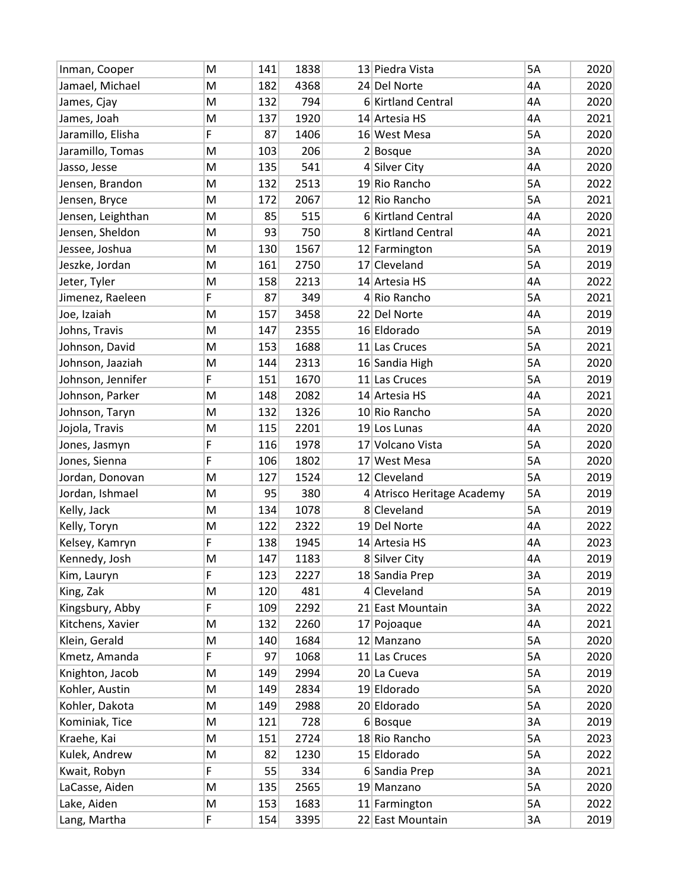| Inman, Cooper     | M | 141 | 1838 | 13 Piedra Vista            | <b>5A</b> | 2020 |
|-------------------|---|-----|------|----------------------------|-----------|------|
| Jamael, Michael   | M | 182 | 4368 | 24 Del Norte               | 4A        | 2020 |
| James, Cjay       | M | 132 | 794  | 6 Kirtland Central         | 4A        | 2020 |
| James, Joah       | M | 137 | 1920 | 14 Artesia HS              | 4A        | 2021 |
| Jaramillo, Elisha | F | 87  | 1406 | 16 West Mesa               | 5A        | 2020 |
| Jaramillo, Tomas  | M | 103 | 206  | $2 $ Bosque                | 3A        | 2020 |
| Jasso, Jesse      | M | 135 | 541  | 4 Silver City              | 4A        | 2020 |
| Jensen, Brandon   | M | 132 | 2513 | 19 Rio Rancho              | 5A        | 2022 |
| Jensen, Bryce     | M | 172 | 2067 | 12 Rio Rancho              | 5A        | 2021 |
| Jensen, Leighthan | M | 85  | 515  | 6 Kirtland Central         | 4A        | 2020 |
| Jensen, Sheldon   | M | 93  | 750  | 8 Kirtland Central         | 4A        | 2021 |
| Jessee, Joshua    | M | 130 | 1567 | 12 Farmington              | 5A        | 2019 |
| Jeszke, Jordan    | M | 161 | 2750 | 17 Cleveland               | 5A        | 2019 |
| Jeter, Tyler      | M | 158 | 2213 | 14 Artesia HS              | 4A        | 2022 |
| Jimenez, Raeleen  | F | 87  | 349  | 4 Rio Rancho               | 5A        | 2021 |
| Joe, Izaiah       | M | 157 | 3458 | 22 Del Norte               | 4A        | 2019 |
| Johns, Travis     | M | 147 | 2355 | 16 Eldorado                | 5A        | 2019 |
| Johnson, David    | M | 153 | 1688 | 11 Las Cruces              | 5A        | 2021 |
| Johnson, Jaaziah  | M | 144 | 2313 | 16 Sandia High             | 5A        | 2020 |
| Johnson, Jennifer | F | 151 | 1670 | 11 Las Cruces              | 5A        | 2019 |
| Johnson, Parker   | M | 148 | 2082 | 14 Artesia HS              | 4A        | 2021 |
| Johnson, Taryn    | M | 132 | 1326 | 10 Rio Rancho              | 5A        | 2020 |
| Jojola, Travis    | M | 115 | 2201 | 19 Los Lunas               | 4A        | 2020 |
| Jones, Jasmyn     | F | 116 | 1978 | 17 Volcano Vista           | 5A        | 2020 |
| Jones, Sienna     | F | 106 | 1802 | 17 West Mesa               | 5A        | 2020 |
| Jordan, Donovan   | M | 127 | 1524 | 12 Cleveland               | 5A        | 2019 |
| Jordan, Ishmael   | M | 95  | 380  | 4 Atrisco Heritage Academy | 5A        | 2019 |
| Kelly, Jack       | M | 134 | 1078 | 8 Cleveland                | 5A        | 2019 |
| Kelly, Toryn      | M | 122 | 2322 | 19 Del Norte               | 4A        | 2022 |
| Kelsey, Kamryn    | F | 138 | 1945 | 14 Artesia HS              | 4A        | 2023 |
| Kennedy, Josh     | M | 147 | 1183 | 8 Silver City              | 4A        | 2019 |
| Kim, Lauryn       | F | 123 | 2227 | 18 Sandia Prep             | 3A        | 2019 |
| King, Zak         | M | 120 | 481  | $4$ Cleveland              | 5A        | 2019 |
| Kingsbury, Abby   | F | 109 | 2292 | 21 East Mountain           | 3A        | 2022 |
| Kitchens, Xavier  | M | 132 | 2260 | 17 Pojoaque                | 4A        | 2021 |
| Klein, Gerald     | M | 140 | 1684 | 12 Manzano                 | 5A        | 2020 |
| Kmetz, Amanda     | F | 97  | 1068 | 11 Las Cruces              | 5A        | 2020 |
| Knighton, Jacob   | M | 149 | 2994 | 20 La Cueva                | 5A        | 2019 |
| Kohler, Austin    | M | 149 | 2834 | 19 Eldorado                | 5A        | 2020 |
| Kohler, Dakota    | M | 149 | 2988 | 20 Eldorado                | 5A        | 2020 |
| Kominiak, Tice    | M | 121 | 728  | $6 $ Bosque                | 3A        | 2019 |
| Kraehe, Kai       | M | 151 | 2724 | 18 Rio Rancho              | 5A        | 2023 |
| Kulek, Andrew     | M | 82  | 1230 | 15 Eldorado                | 5A        | 2022 |
| Kwait, Robyn      | F | 55  | 334  | 6 Sandia Prep              | 3A        | 2021 |
| LaCasse, Aiden    | M | 135 | 2565 | 19 Manzano                 | 5A        | 2020 |
| Lake, Aiden       | M | 153 | 1683 | 11 Farmington              | 5A        | 2022 |
| Lang, Martha      | F | 154 | 3395 | 22 East Mountain           | 3A        | 2019 |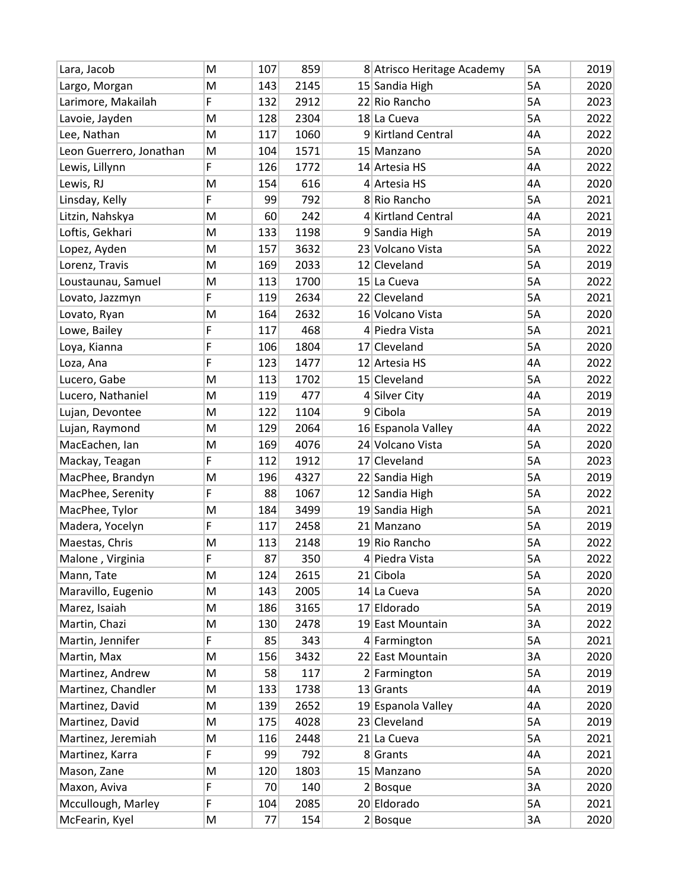| Lara, Jacob             | M | 107 | 859  | 8 Atrisco Heritage Academy | 5A | 2019 |
|-------------------------|---|-----|------|----------------------------|----|------|
| Largo, Morgan           | M | 143 | 2145 | 15 Sandia High             | 5A | 2020 |
| Larimore, Makailah      | F | 132 | 2912 | 22 Rio Rancho              | 5A | 2023 |
| Lavoie, Jayden          | M | 128 | 2304 | 18 La Cueva                | 5A | 2022 |
| Lee, Nathan             | M | 117 | 1060 | 9 Kirtland Central         | 4A | 2022 |
| Leon Guerrero, Jonathan | M | 104 | 1571 | 15 Manzano                 | 5A | 2020 |
| Lewis, Lillynn          | F | 126 | 1772 | 14 Artesia HS              | 4A | 2022 |
| Lewis, RJ               | M | 154 | 616  | $4$ Artesia HS             | 4A | 2020 |
| Linsday, Kelly          | F | 99  | 792  | 8 Rio Rancho               | 5A | 2021 |
| Litzin, Nahskya         | M | 60  | 242  | 4 Kirtland Central         | 4A | 2021 |
| Loftis, Gekhari         | M | 133 | 1198 | 9 Sandia High              | 5A | 2019 |
| Lopez, Ayden            | M | 157 | 3632 | 23 Volcano Vista           | 5A | 2022 |
| Lorenz, Travis          | M | 169 | 2033 | 12 Cleveland               | 5A | 2019 |
| Loustaunau, Samuel      | M | 113 | 1700 | 15 La Cueva                | 5A | 2022 |
| Lovato, Jazzmyn         | F | 119 | 2634 | 22 Cleveland               | 5A | 2021 |
| Lovato, Ryan            | M | 164 | 2632 | 16 Volcano Vista           | 5A | 2020 |
| Lowe, Bailey            | F | 117 | 468  | 4 Piedra Vista             | 5A | 2021 |
| Loya, Kianna            | F | 106 | 1804 | 17 Cleveland               | 5A | 2020 |
| Loza, Ana               | F | 123 | 1477 | 12 Artesia HS              | 4A | 2022 |
| Lucero, Gabe            | M | 113 | 1702 | 15 Cleveland               | 5A | 2022 |
| Lucero, Nathaniel       | M | 119 | 477  | 4 Silver City              | 4A | 2019 |
| Lujan, Devontee         | M | 122 | 1104 | $9$ Cibola                 | 5A | 2019 |
| Lujan, Raymond          | M | 129 | 2064 | 16 Espanola Valley         | 4A | 2022 |
| MacEachen, Ian          | M | 169 | 4076 | 24 Volcano Vista           | 5A | 2020 |
| Mackay, Teagan          | F | 112 | 1912 | 17 Cleveland               | 5A | 2023 |
| MacPhee, Brandyn        | M | 196 | 4327 | 22 Sandia High             | 5A | 2019 |
| MacPhee, Serenity       | F | 88  | 1067 | 12 Sandia High             | 5A | 2022 |
| MacPhee, Tylor          | M | 184 | 3499 | 19 Sandia High             | 5A | 2021 |
| Madera, Yocelyn         | F | 117 | 2458 | 21 Manzano                 | 5A | 2019 |
| Maestas, Chris          | M | 113 | 2148 | 19 Rio Rancho              | 5A | 2022 |
| Malone, Virginia        | F | 87  | 350  | 4 Piedra Vista             | 5A | 2022 |
| Mann, Tate              | M | 124 | 2615 | 21 Cibola                  | 5A | 2020 |
| Maravillo, Eugenio      | M | 143 | 2005 | 14 La Cueva                | 5A | 2020 |
| Marez, Isaiah           | M | 186 | 3165 | 17 Eldorado                | 5A | 2019 |
| Martin, Chazi           | M | 130 | 2478 | 19 East Mountain           | 3A | 2022 |
| Martin, Jennifer        | F | 85  | 343  | 4 Farmington               | 5A | 2021 |
| Martin, Max             | M | 156 | 3432 | 22 East Mountain           | 3A | 2020 |
| Martinez, Andrew        | M | 58  | 117  | 2 Farmington               | 5A | 2019 |
| Martinez, Chandler      | M | 133 | 1738 | $13$ Grants                | 4A | 2019 |
| Martinez, David         | M | 139 | 2652 | 19 Espanola Valley         | 4A | 2020 |
| Martinez, David         | M | 175 | 4028 | 23 Cleveland               | 5A | 2019 |
| Martinez, Jeremiah      | M | 116 | 2448 | 21 La Cueva                | 5A | 2021 |
| Martinez, Karra         | F | 99  | 792  | 8 Grants                   | 4A | 2021 |
| Mason, Zane             | M | 120 | 1803 | 15 Manzano                 | 5A | 2020 |
| Maxon, Aviva            | F | 70  | 140  | $2 $ Bosque                | 3A | 2020 |
| Mccullough, Marley      | F | 104 | 2085 | 20 Eldorado                | 5A | 2021 |
| McFearin, Kyel          | M | 77  | 154  | $2 $ Bosque                | 3A | 2020 |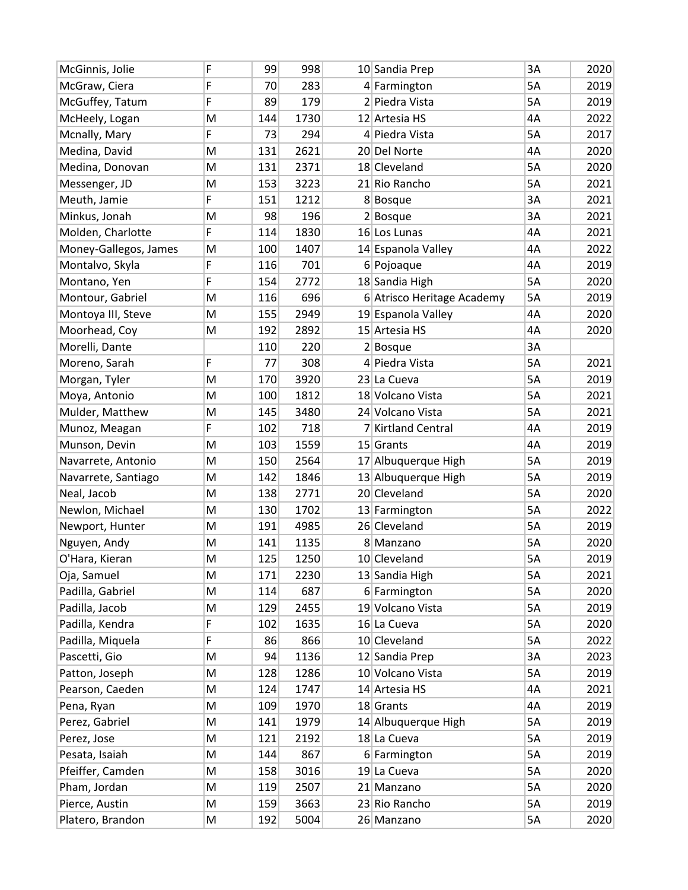| McGinnis, Jolie       | F | 99  | 998  | 10 Sandia Prep             | 3A | 2020 |
|-----------------------|---|-----|------|----------------------------|----|------|
| McGraw, Ciera         | F | 70  | 283  | 4 Farmington               | 5A | 2019 |
| McGuffey, Tatum       | F | 89  | 179  | 2 Piedra Vista             | 5A | 2019 |
| McHeely, Logan        | M | 144 | 1730 | 12 Artesia HS              | 4A | 2022 |
| Mcnally, Mary         | F | 73  | 294  | 4 Piedra Vista             | 5A | 2017 |
| Medina, David         | M | 131 | 2621 | 20 Del Norte               | 4A | 2020 |
| Medina, Donovan       | M | 131 | 2371 | 18 Cleveland               | 5A | 2020 |
| Messenger, JD         | M | 153 | 3223 | 21 Rio Rancho              | 5A | 2021 |
| Meuth, Jamie          | F | 151 | 1212 | 8Bosque                    | 3A | 2021 |
| Minkus, Jonah         | M | 98  | 196  | $2 $ Bosque                | 3A | 2021 |
| Molden, Charlotte     | F | 114 | 1830 | 16 Los Lunas               | 4A | 2021 |
| Money-Gallegos, James | M | 100 | 1407 | 14 Espanola Valley         | 4A | 2022 |
| Montalvo, Skyla       | F | 116 | 701  | 6 Pojoaque                 | 4A | 2019 |
| Montano, Yen          | F | 154 | 2772 | 18 Sandia High             | 5A | 2020 |
| Montour, Gabriel      | M | 116 | 696  | 6 Atrisco Heritage Academy | 5A | 2019 |
| Montoya III, Steve    | M | 155 | 2949 | 19 Espanola Valley         | 4A | 2020 |
| Moorhead, Coy         | M | 192 | 2892 | 15 Artesia HS              | 4A | 2020 |
| Morelli, Dante        |   | 110 | 220  | $2 $ Bosque                | 3A |      |
| Moreno, Sarah         | F | 77  | 308  | 4 Piedra Vista             | 5A | 2021 |
| Morgan, Tyler         | M | 170 | 3920 | 23 La Cueva                | 5A | 2019 |
| Moya, Antonio         | M | 100 | 1812 | 18 Volcano Vista           | 5A | 2021 |
| Mulder, Matthew       | M | 145 | 3480 | 24 Volcano Vista           | 5A | 2021 |
| Munoz, Meagan         | F | 102 | 718  | 7 Kirtland Central         | 4A | 2019 |
| Munson, Devin         | M | 103 | 1559 | $15$ Grants                | 4A | 2019 |
| Navarrete, Antonio    | M | 150 | 2564 | 17 Albuquerque High        | 5A | 2019 |
| Navarrete, Santiago   | M | 142 | 1846 | 13 Albuquerque High        | 5A | 2019 |
| Neal, Jacob           | M | 138 | 2771 | 20 Cleveland               | 5A | 2020 |
| Newlon, Michael       | M | 130 | 1702 | 13 Farmington              | 5A | 2022 |
| Newport, Hunter       | M | 191 | 4985 | 26 Cleveland               | 5A | 2019 |
| Nguyen, Andy          | M | 141 | 1135 | 8 Manzano                  | 5A | 2020 |
| O'Hara, Kieran        | M | 125 | 1250 | 10 Cleveland               | 5A | 2019 |
| Oja, Samuel           | M | 171 | 2230 | 13 Sandia High             | 5A | 2021 |
| Padilla, Gabriel      | M | 114 | 687  | 6 Farmington               | 5A | 2020 |
| Padilla, Jacob        | M | 129 | 2455 | 19 Volcano Vista           | 5A | 2019 |
| Padilla, Kendra       | F | 102 | 1635 | 16 La Cueva                | 5A | 2020 |
| Padilla, Miquela      | F | 86  | 866  | 10 Cleveland               | 5A | 2022 |
| Pascetti, Gio         | M | 94  | 1136 | 12 Sandia Prep             | 3A | 2023 |
| Patton, Joseph        | M | 128 | 1286 | 10 Volcano Vista           | 5A | 2019 |
| Pearson, Caeden       | M | 124 | 1747 | 14 Artesia HS              | 4A | 2021 |
| Pena, Ryan            | M | 109 | 1970 | $18$ Grants                | 4A | 2019 |
| Perez, Gabriel        | M | 141 | 1979 | 14 Albuquerque High        | 5A | 2019 |
| Perez, Jose           | M | 121 | 2192 | 18 La Cueva                | 5A | 2019 |
| Pesata, Isaiah        | M | 144 | 867  | 6 Farmington               | 5A | 2019 |
| Pfeiffer, Camden      | M | 158 | 3016 | 19 La Cueva                | 5A | 2020 |
| Pham, Jordan          | M | 119 | 2507 | 21 Manzano                 | 5A | 2020 |
| Pierce, Austin        | M | 159 | 3663 | 23 Rio Rancho              | 5A | 2019 |
| Platero, Brandon      | M | 192 | 5004 | 26 Manzano                 | 5A | 2020 |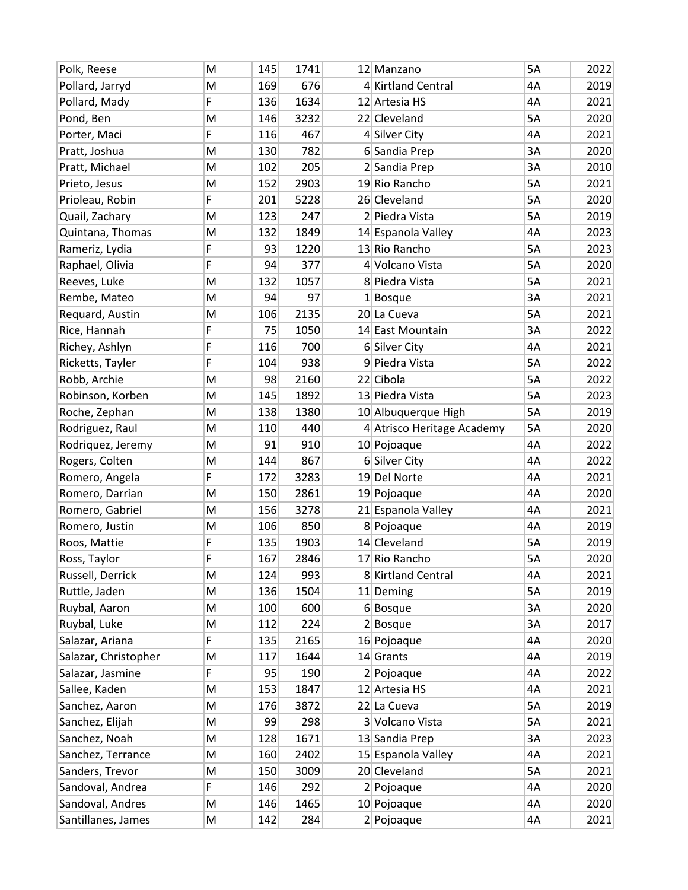| Polk, Reese          | M | 145 | 1741 | 12 Manzano                 | <b>5A</b> | 2022 |
|----------------------|---|-----|------|----------------------------|-----------|------|
| Pollard, Jarryd      | M | 169 | 676  | 4 Kirtland Central         | 4A        | 2019 |
| Pollard, Mady        | F | 136 | 1634 | 12 Artesia HS              | 4A        | 2021 |
| Pond, Ben            | M | 146 | 3232 | 22 Cleveland               | 5A        | 2020 |
| Porter, Maci         | F | 116 | 467  | 4 Silver City              | 4A        | 2021 |
| Pratt, Joshua        | M | 130 | 782  | 6 Sandia Prep              | 3A        | 2020 |
| Pratt, Michael       | M | 102 | 205  | 2 Sandia Prep              | 3A        | 2010 |
| Prieto, Jesus        | M | 152 | 2903 | 19 Rio Rancho              | 5A        | 2021 |
| Prioleau, Robin      | F | 201 | 5228 | 26 Cleveland               | 5A        | 2020 |
| Quail, Zachary       | M | 123 | 247  | 2 Piedra Vista             | 5A        | 2019 |
| Quintana, Thomas     | M | 132 | 1849 | 14 Espanola Valley         | 4A        | 2023 |
| Rameriz, Lydia       | F | 93  | 1220 | 13 Rio Rancho              | 5A        | 2023 |
| Raphael, Olivia      | F | 94  | 377  | 4 Volcano Vista            | 5A        | 2020 |
| Reeves, Luke         | M | 132 | 1057 | 8 Piedra Vista             | 5A        | 2021 |
| Rembe, Mateo         | M | 94  | 97   | $1$ Bosque                 | 3A        | 2021 |
| Requard, Austin      | M | 106 | 2135 | 20 La Cueva                | 5A        | 2021 |
| Rice, Hannah         | F | 75  | 1050 | 14 East Mountain           | 3A        | 2022 |
| Richey, Ashlyn       | F | 116 | 700  | 6 Silver City              | 4A        | 2021 |
| Ricketts, Tayler     | F | 104 | 938  | 9 Piedra Vista             | 5A        | 2022 |
| Robb, Archie         | M | 98  | 2160 | 22 Cibola                  | 5A        | 2022 |
| Robinson, Korben     | M | 145 | 1892 | 13 Piedra Vista            | 5A        | 2023 |
| Roche, Zephan        | M | 138 | 1380 | 10 Albuquerque High        | 5A        | 2019 |
| Rodriguez, Raul      | M | 110 | 440  | 4 Atrisco Heritage Academy | 5A        | 2020 |
| Rodriquez, Jeremy    | M | 91  | 910  | 10 Pojoaque                | 4A        | 2022 |
| Rogers, Colten       | M | 144 | 867  | 6 Silver City              | 4A        | 2022 |
| Romero, Angela       | F | 172 | 3283 | 19 Del Norte               | 4A        | 2021 |
| Romero, Darrian      | M | 150 | 2861 | 19 Pojoaque                | 4A        | 2020 |
| Romero, Gabriel      | M | 156 | 3278 | 21 Espanola Valley         | 4A        | 2021 |
| Romero, Justin       | M | 106 | 850  | 8 Pojoaque                 | 4A        | 2019 |
| Roos, Mattie         | F | 135 | 1903 | 14 Cleveland               | 5A        | 2019 |
| Ross, Taylor         | F | 167 | 2846 | 17 Rio Rancho              | 5A        | 2020 |
| Russell, Derrick     | M | 124 | 993  | 8 Kirtland Central         | 4A        | 2021 |
| Ruttle, Jaden        | M | 136 | 1504 | 11 Deming                  | 5A        | 2019 |
| Ruybal, Aaron        | M | 100 | 600  | $6 $ Bosque                | 3A        | 2020 |
| Ruybal, Luke         | M | 112 | 224  | $2 $ Bosque                | 3A        | 2017 |
| Salazar, Ariana      | F | 135 | 2165 | 16 Pojoaque                | 4A        | 2020 |
| Salazar, Christopher | M | 117 | 1644 | $14$ Grants                | 4A        | 2019 |
| Salazar, Jasmine     | F | 95  | 190  | 2 Pojoaque                 | 4A        | 2022 |
| Sallee, Kaden        | M | 153 | 1847 | 12 Artesia HS              | 4A        | 2021 |
| Sanchez, Aaron       | M | 176 | 3872 | 22 La Cueva                | 5A        | 2019 |
| Sanchez, Elijah      | M | 99  | 298  | 3 Volcano Vista            | 5A        | 2021 |
| Sanchez, Noah        | M | 128 | 1671 | 13 Sandia Prep             | 3A        | 2023 |
| Sanchez, Terrance    | M | 160 | 2402 | 15 Espanola Valley         | 4A        | 2021 |
| Sanders, Trevor      | M | 150 | 3009 | 20 Cleveland               | 5A        | 2021 |
| Sandoval, Andrea     | F | 146 | 292  | 2 Pojoaque                 | 4A        | 2020 |
| Sandoval, Andres     | M | 146 | 1465 | 10 Pojoaque                | 4A        | 2020 |
| Santillanes, James   | M | 142 | 284  | 2 Pojoaque                 | 4A        | 2021 |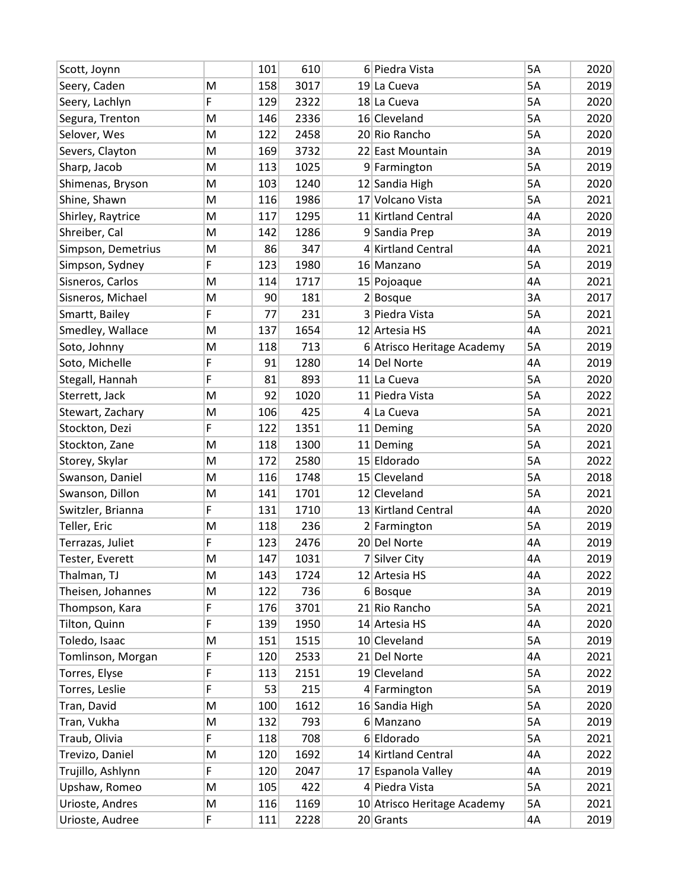| Scott, Joynn       |   | 101 | 610  | 6 Piedra Vista              | 5A        | 2020 |
|--------------------|---|-----|------|-----------------------------|-----------|------|
| Seery, Caden       | M | 158 | 3017 | 19 La Cueva                 | 5A        | 2019 |
| Seery, Lachlyn     | F | 129 | 2322 | 18 La Cueva                 | 5A        | 2020 |
| Segura, Trenton    | M | 146 | 2336 | 16 Cleveland                | 5A        | 2020 |
| Selover, Wes       | M | 122 | 2458 | 20 Rio Rancho               | 5A        | 2020 |
| Severs, Clayton    | M | 169 | 3732 | 22 East Mountain            | 3A        | 2019 |
| Sharp, Jacob       | M | 113 | 1025 | 9 Farmington                | 5A        | 2019 |
| Shimenas, Bryson   | M | 103 | 1240 | 12 Sandia High              | 5A        | 2020 |
| Shine, Shawn       | M | 116 | 1986 | 17 Volcano Vista            | 5A        | 2021 |
| Shirley, Raytrice  | M | 117 | 1295 | 11 Kirtland Central         | 4A        | 2020 |
| Shreiber, Cal      | M | 142 | 1286 | 9 Sandia Prep               | 3A        | 2019 |
| Simpson, Demetrius | M | 86  | 347  | 4 Kirtland Central          | 4A        | 2021 |
| Simpson, Sydney    | F | 123 | 1980 | 16 Manzano                  | 5A        | 2019 |
| Sisneros, Carlos   | M | 114 | 1717 | 15 Pojoaque                 | 4A        | 2021 |
| Sisneros, Michael  | M | 90  | 181  | $2 $ Bosque                 | 3A        | 2017 |
| Smartt, Bailey     | F | 77  | 231  | 3 Piedra Vista              | <b>5A</b> | 2021 |
| Smedley, Wallace   | M | 137 | 1654 | 12 Artesia HS               | 4A        | 2021 |
| Soto, Johnny       | M | 118 | 713  | 6 Atrisco Heritage Academy  | 5A        | 2019 |
| Soto, Michelle     | F | 91  | 1280 | 14 Del Norte                | 4A        | 2019 |
| Stegall, Hannah    | F | 81  | 893  | 11 La Cueva                 | 5A        | 2020 |
| Sterrett, Jack     | M | 92  | 1020 | 11 Piedra Vista             | 5A        | 2022 |
| Stewart, Zachary   | M | 106 | 425  | 4 La Cueva                  | 5A        | 2021 |
| Stockton, Dezi     | F | 122 | 1351 | 11 Deming                   | 5A        | 2020 |
| Stockton, Zane     | M | 118 | 1300 | 11 Deming                   | 5A        | 2021 |
| Storey, Skylar     | M | 172 | 2580 | 15 Eldorado                 | 5A        | 2022 |
| Swanson, Daniel    | M | 116 | 1748 | 15 Cleveland                | 5A        | 2018 |
| Swanson, Dillon    | M | 141 | 1701 | 12 Cleveland                | 5A        | 2021 |
| Switzler, Brianna  | F | 131 | 1710 | 13 Kirtland Central         | 4A        | 2020 |
| Teller, Eric       | M | 118 | 236  | 2 Farmington                | 5A        | 2019 |
| Terrazas, Juliet   | F | 123 | 2476 | 20 Del Norte                | 4A        | 2019 |
| Tester, Everett    | M | 147 | 1031 | 7 Silver City               | 4A        | 2019 |
| Thalman, TJ        | M | 143 | 1724 | 12 Artesia HS               | 4A        | 2022 |
| Theisen, Johannes  | M | 122 | 736  | $6 $ Bosque                 | 3A        | 2019 |
| Thompson, Kara     | F | 176 | 3701 | 21 Rio Rancho               | 5A        | 2021 |
| Tilton, Quinn      | F | 139 | 1950 | 14 Artesia HS               | 4A        | 2020 |
| Toledo, Isaac      | M | 151 | 1515 | 10 Cleveland                | 5A        | 2019 |
| Tomlinson, Morgan  | F | 120 | 2533 | 21 Del Norte                | 4A        | 2021 |
| Torres, Elyse      | F | 113 | 2151 | 19 Cleveland                | 5A        | 2022 |
| Torres, Leslie     | F | 53  | 215  | 4 Farmington                | 5A        | 2019 |
| Tran, David        | M | 100 | 1612 | 16 Sandia High              | 5A        | 2020 |
| Tran, Vukha        | M | 132 | 793  | 6 Manzano                   | 5A        | 2019 |
| Traub, Olivia      | F | 118 | 708  | 6 Eldorado                  | 5A        | 2021 |
| Trevizo, Daniel    | M | 120 | 1692 | 14 Kirtland Central         | 4A        | 2022 |
| Trujillo, Ashlynn  | F | 120 | 2047 | 17 Espanola Valley          | 4A        | 2019 |
| Upshaw, Romeo      | M | 105 | 422  | 4 Piedra Vista              | 5A        | 2021 |
| Urioste, Andres    | M | 116 | 1169 | 10 Atrisco Heritage Academy | 5A        | 2021 |
| Urioste, Audree    | F | 111 | 2228 | 20 Grants                   | 4A        | 2019 |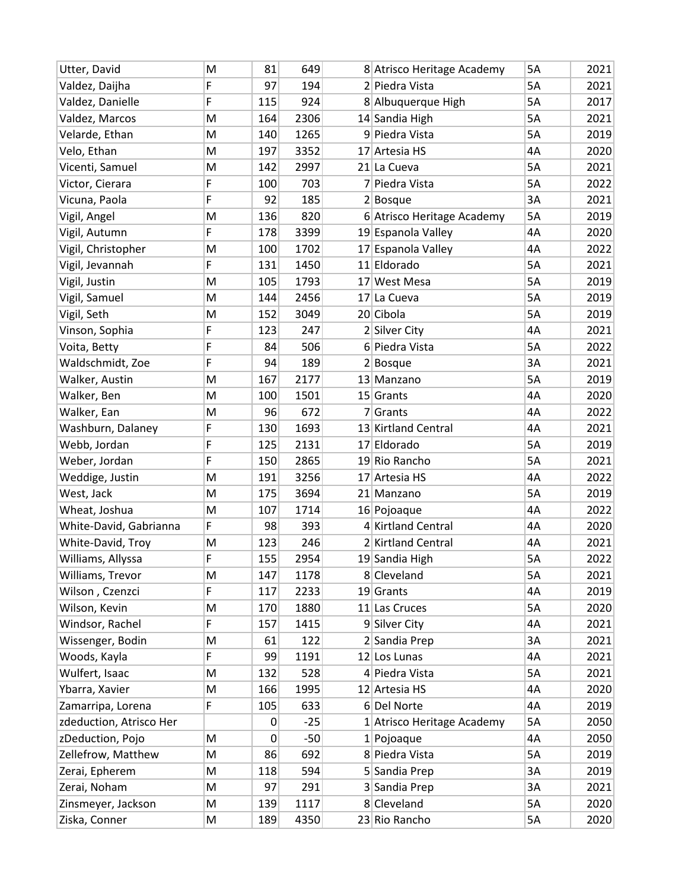| Utter, David            | M | 81       | 649   | 8 Atrisco Heritage Academy | 5A        | 2021 |
|-------------------------|---|----------|-------|----------------------------|-----------|------|
| Valdez, Daijha          | F | 97       | 194   | 2 Piedra Vista             | <b>5A</b> | 2021 |
| Valdez, Danielle        | F | 115      | 924   | 8 Albuquerque High         | 5A        | 2017 |
| Valdez, Marcos          | M | 164      | 2306  | 14 Sandia High             | 5A        | 2021 |
| Velarde, Ethan          | M | 140      | 1265  | 9 Piedra Vista             | 5A        | 2019 |
| Velo, Ethan             | M | 197      | 3352  | 17 Artesia HS              | 4A        | 2020 |
| Vicenti, Samuel         | M | 142      | 2997  | 21 La Cueva                | 5A        | 2021 |
| Victor, Cierara         | F | 100      | 703   | 7 Piedra Vista             | 5A        | 2022 |
| Vicuna, Paola           | F | 92       | 185   | $2 $ Bosque                | 3A        | 2021 |
| Vigil, Angel            | M | 136      | 820   | 6 Atrisco Heritage Academy | 5A        | 2019 |
| Vigil, Autumn           | F | 178      | 3399  | 19 Espanola Valley         | 4A        | 2020 |
| Vigil, Christopher      | M | 100      | 1702  | 17 Espanola Valley         | 4A        | 2022 |
| Vigil, Jevannah         | F | 131      | 1450  | 11 Eldorado                | 5A        | 2021 |
| Vigil, Justin           | M | 105      | 1793  | 17 West Mesa               | 5A        | 2019 |
| Vigil, Samuel           | M | 144      | 2456  | 17 La Cueva                | 5A        | 2019 |
| Vigil, Seth             | M | 152      | 3049  | 20 Cibola                  | 5A        | 2019 |
| Vinson, Sophia          | F | 123      | 247   | 2 Silver City              | 4A        | 2021 |
| Voita, Betty            | F | 84       | 506   | 6 Piedra Vista             | 5A        | 2022 |
| Waldschmidt, Zoe        | F | 94       | 189   | $2 $ Bosque                | 3A        | 2021 |
| Walker, Austin          | M | 167      | 2177  | 13 Manzano                 | 5A        | 2019 |
| Walker, Ben             | M | 100      | 1501  | $15$ Grants                | 4A        | 2020 |
| Walker, Ean             | M | 96       | 672   | 7 Grants                   | 4A        | 2022 |
| Washburn, Dalaney       | F | 130      | 1693  | 13 Kirtland Central        | 4A        | 2021 |
| Webb, Jordan            | F | 125      | 2131  | 17 Eldorado                | 5A        | 2019 |
| Weber, Jordan           | F | 150      | 2865  | 19 Rio Rancho              | 5A        | 2021 |
| Weddige, Justin         | M | 191      | 3256  | 17 Artesia HS              | 4A        | 2022 |
| West, Jack              | M | 175      | 3694  | 21 Manzano                 | 5A        | 2019 |
| Wheat, Joshua           | M | 107      | 1714  | 16 Pojoaque                | 4A        | 2022 |
| White-David, Gabrianna  | F | 98       | 393   | 4 Kirtland Central         | 4A        | 2020 |
| White-David, Troy       | M | 123      | 246   | 2 Kirtland Central         | 4A        | 2021 |
| Williams, Allyssa       | F | 155      | 2954  | 19 Sandia High             | 5A        | 2022 |
| Williams, Trevor        | M | 147      | 1178  | 8 Cleveland                | 5A        | 2021 |
| Wilson, Czenzci         | F | 117      | 2233  | $19$ Grants                | 4A        | 2019 |
| Wilson, Kevin           | M | 170      | 1880  | 11 Las Cruces              | 5A        | 2020 |
| Windsor, Rachel         | F | 157      | 1415  | 9 Silver City              | 4A        | 2021 |
| Wissenger, Bodin        | M | 61       | 122   | 2 Sandia Prep              | 3A        | 2021 |
| Woods, Kayla            | F | 99       | 1191  | 12 Los Lunas               | 4A        | 2021 |
| Wulfert, Isaac          | M | 132      | 528   | 4 Piedra Vista             | 5A        | 2021 |
| Ybarra, Xavier          | M | 166      | 1995  | 12 Artesia HS              | 4A        | 2020 |
| Zamarripa, Lorena       | F | 105      | 633   | 6Del Norte                 | 4A        | 2019 |
| zdeduction, Atrisco Her |   | $\Omega$ | $-25$ | 1 Atrisco Heritage Academy | 5A        | 2050 |
| zDeduction, Pojo        | M | 0        | $-50$ | $1$  Pojoaque              | 4A        | 2050 |
| Zellefrow, Matthew      | M | 86       | 692   | 8 Piedra Vista             | 5A        | 2019 |
| Zerai, Epherem          | M | 118      | 594   | 5 Sandia Prep              | 3A        | 2019 |
| Zerai, Noham            | M | 97       | 291   | 3 Sandia Prep              | 3A        | 2021 |
| Zinsmeyer, Jackson      | M | 139      | 1117  | 8 Cleveland                | 5A        | 2020 |
| Ziska, Conner           | M | 189      | 4350  | 23 Rio Rancho              | 5A        | 2020 |